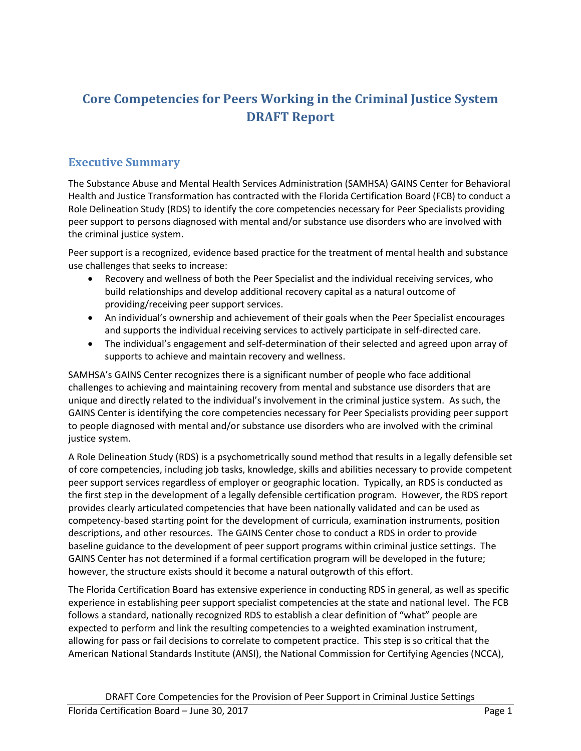# **Core Competencies for Peers Working in the Criminal Justice System DRAFT Report**

# <span id="page-0-0"></span>**Executive Summary**

The Substance Abuse and Mental Health Services Administration (SAMHSA) GAINS Center for Behavioral Health and Justice Transformation has contracted with the Florida Certification Board (FCB) to conduct a Role Delineation Study (RDS) to identify the core competencies necessary for Peer Specialists providing peer support to persons diagnosed with mental and/or substance use disorders who are involved with the criminal justice system.

Peer support is a recognized, evidence based practice for the treatment of mental health and substance use challenges that seeks to increase:

- Recovery and wellness of both the Peer Specialist and the individual receiving services, who build relationships and develop additional recovery capital as a natural outcome of providing/receiving peer support services.
- An individual's ownership and achievement of their goals when the Peer Specialist encourages and supports the individual receiving services to actively participate in self-directed care.
- The individual's engagement and self-determination of their selected and agreed upon array of supports to achieve and maintain recovery and wellness.

SAMHSA's GAINS Center recognizes there is a significant number of people who face additional challenges to achieving and maintaining recovery from mental and substance use disorders that are unique and directly related to the individual's involvement in the criminal justice system. As such, the GAINS Center is identifying the core competencies necessary for Peer Specialists providing peer support to people diagnosed with mental and/or substance use disorders who are involved with the criminal justice system.

A Role Delineation Study (RDS) is a psychometrically sound method that results in a legally defensible set of core competencies, including job tasks, knowledge, skills and abilities necessary to provide competent peer support services regardless of employer or geographic location. Typically, an RDS is conducted as the first step in the development of a legally defensible certification program. However, the RDS report provides clearly articulated competencies that have been nationally validated and can be used as competency-based starting point for the development of curricula, examination instruments, position descriptions, and other resources. The GAINS Center chose to conduct a RDS in order to provide baseline guidance to the development of peer support programs within criminal justice settings. The GAINS Center has not determined if a formal certification program will be developed in the future; however, the structure exists should it become a natural outgrowth of this effort.

The Florida Certification Board has extensive experience in conducting RDS in general, as well as specific experience in establishing peer support specialist competencies at the state and national level. The FCB follows a standard, nationally recognized RDS to establish a clear definition of "what" people are expected to perform and link the resulting competencies to a weighted examination instrument, allowing for pass or fail decisions to correlate to competent practice. This step is so critical that the American National Standards Institute (ANSI), the National Commission for Certifying Agencies (NCCA),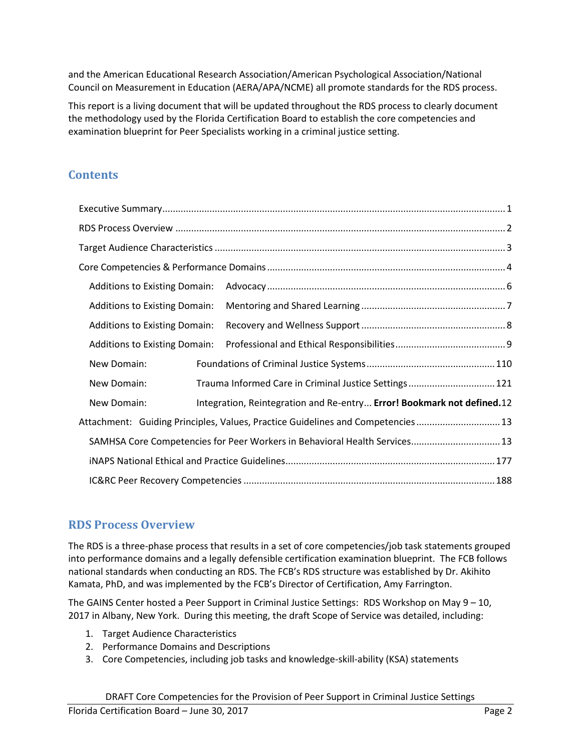and the American Educational Research Association/American Psychological Association/National Council on Measurement in Education (AERA/APA/NCME) all promote standards for the RDS process.

This report is a living document that will be updated throughout the RDS process to clearly document the methodology used by the Florida Certification Board to establish the core competencies and examination blueprint for Peer Specialists working in a criminal justice setting.

# **Contents**

| <b>Additions to Existing Domain:</b>                                       |                                                                                 |
|----------------------------------------------------------------------------|---------------------------------------------------------------------------------|
| <b>Additions to Existing Domain:</b>                                       |                                                                                 |
| <b>Additions to Existing Domain:</b>                                       |                                                                                 |
| <b>Additions to Existing Domain:</b>                                       |                                                                                 |
| New Domain:                                                                |                                                                                 |
| New Domain:                                                                | Trauma Informed Care in Criminal Justice Settings 121                           |
| New Domain:                                                                | Integration, Reintegration and Re-entry Error! Bookmark not defined.12          |
|                                                                            | Attachment: Guiding Principles, Values, Practice Guidelines and Competencies 13 |
| SAMHSA Core Competencies for Peer Workers in Behavioral Health Services 13 |                                                                                 |
|                                                                            |                                                                                 |
|                                                                            |                                                                                 |

# <span id="page-1-0"></span>**RDS Process Overview**

The RDS is a three-phase process that results in a set of core competencies/job task statements grouped into performance domains and a legally defensible certification examination blueprint. The FCB follows national standards when conducting an RDS. The FCB's RDS structure was established by Dr. Akihito Kamata, PhD, and was implemented by the FCB's Director of Certification, Amy Farrington.

The GAINS Center hosted a Peer Support in Criminal Justice Settings: RDS Workshop on May 9 – 10, 2017 in Albany, New York. During this meeting, the draft Scope of Service was detailed, including:

- 1. Target Audience Characteristics
- 2. Performance Domains and Descriptions
- 3. Core Competencies, including job tasks and knowledge-skill-ability (KSA) statements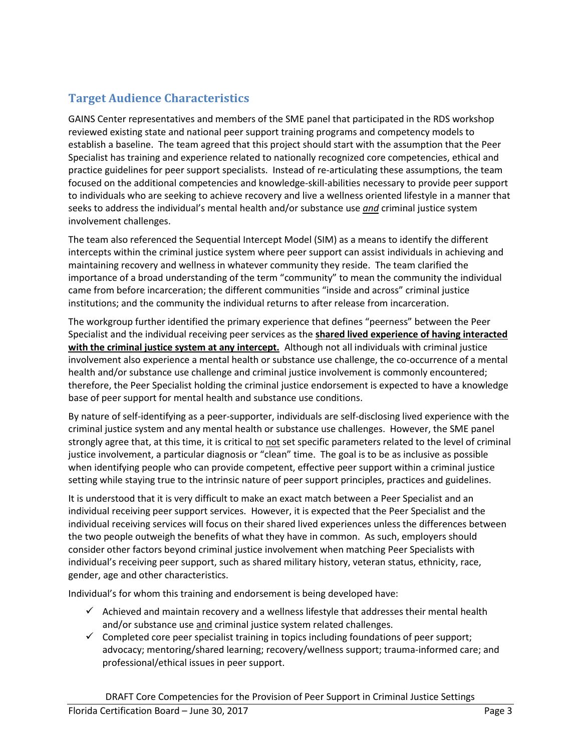# <span id="page-2-0"></span>**Target Audience Characteristics**

GAINS Center representatives and members of the SME panel that participated in the RDS workshop reviewed existing state and national peer support training programs and competency models to establish a baseline. The team agreed that this project should start with the assumption that the Peer Specialist has training and experience related to nationally recognized core competencies, ethical and practice guidelines for peer support specialists. Instead of re-articulating these assumptions, the team focused on the additional competencies and knowledge-skill-abilities necessary to provide peer support to individuals who are seeking to achieve recovery and live a wellness oriented lifestyle in a manner that seeks to address the individual's mental health and/or substance use *and* criminal justice system involvement challenges.

The team also referenced the Sequential Intercept Model (SIM) as a means to identify the different intercepts within the criminal justice system where peer support can assist individuals in achieving and maintaining recovery and wellness in whatever community they reside. The team clarified the importance of a broad understanding of the term "community" to mean the community the individual came from before incarceration; the different communities "inside and across" criminal justice institutions; and the community the individual returns to after release from incarceration.

The workgroup further identified the primary experience that defines "peerness" between the Peer Specialist and the individual receiving peer services as the **shared lived experience of having interacted with the criminal justice system at any intercept.** Although not all individuals with criminal justice involvement also experience a mental health or substance use challenge, the co-occurrence of a mental health and/or substance use challenge and criminal justice involvement is commonly encountered; therefore, the Peer Specialist holding the criminal justice endorsement is expected to have a knowledge base of peer support for mental health and substance use conditions.

By nature of self-identifying as a peer-supporter, individuals are self-disclosing lived experience with the criminal justice system and any mental health or substance use challenges. However, the SME panel strongly agree that, at this time, it is critical to not set specific parameters related to the level of criminal justice involvement, a particular diagnosis or "clean" time. The goal is to be as inclusive as possible when identifying people who can provide competent, effective peer support within a criminal justice setting while staying true to the intrinsic nature of peer support principles, practices and guidelines.

It is understood that it is very difficult to make an exact match between a Peer Specialist and an individual receiving peer support services. However, it is expected that the Peer Specialist and the individual receiving services will focus on their shared lived experiences unless the differences between the two people outweigh the benefits of what they have in common. As such, employers should consider other factors beyond criminal justice involvement when matching Peer Specialists with individual's receiving peer support, such as shared military history, veteran status, ethnicity, race, gender, age and other characteristics.

Individual's for whom this training and endorsement is being developed have:

- $\checkmark$  Achieved and maintain recovery and a wellness lifestyle that addresses their mental health and/or substance use and criminal justice system related challenges.
- $\checkmark$  Completed core peer specialist training in topics including foundations of peer support; advocacy; mentoring/shared learning; recovery/wellness support; trauma-informed care; and professional/ethical issues in peer support.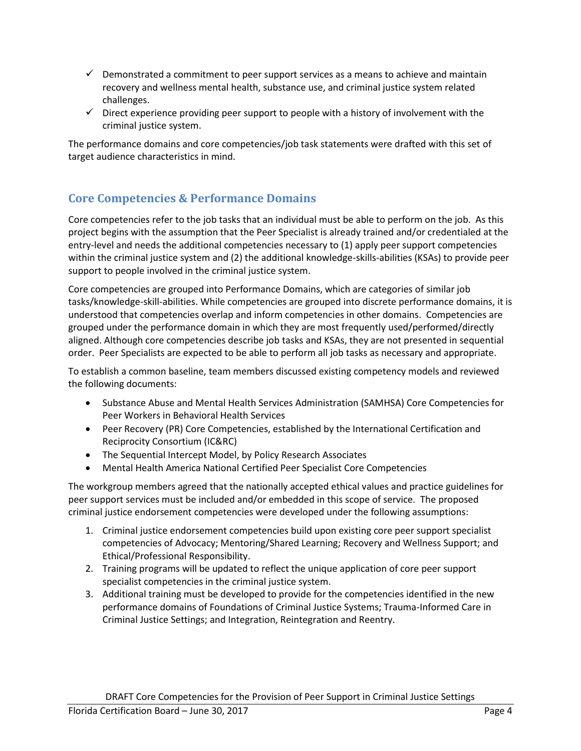- $\checkmark$  Demonstrated a commitment to peer support services as a means to achieve and maintain recovery and wellness mental health, substance use, and criminal justice system related challenges.
- $\checkmark$  Direct experience providing peer support to people with a history of involvement with the criminal justice system.

The performance domains and core competencies/job task statements were drafted with this set of target audience characteristics in mind.

# <span id="page-3-0"></span>**Core Competencies & Performance Domains**

Core competencies refer to the job tasks that an individual must be able to perform on the job. As this project begins with the assumption that the Peer Specialist is already trained and/or credentialed at the entry-level and needs the additional competencies necessary to (1) apply peer support competencies within the criminal justice system and (2) the additional knowledge-skills-abilities (KSAs) to provide peer support to people involved in the criminal justice system.

Core competencies are grouped into Performance Domains, which are categories of similar job tasks/knowledge-skill-abilities. While competencies are grouped into discrete performance domains, it is understood that competencies overlap and inform competencies in other domains. Competencies are grouped under the performance domain in which they are most frequently used/performed/directly aligned. Although core competencies describe job tasks and KSAs, they are not presented in sequential order. Peer Specialists are expected to be able to perform all job tasks as necessary and appropriate.

To establish a common baseline, team members discussed existing competency models and reviewed the following documents:

- Substance Abuse and Mental Health Services Administration (SAMHSA) Core Competencies for Peer Workers in Behavioral Health Services
- Peer Recovery (PR) Core Competencies, established by the International Certification and Reciprocity Consortium (IC&RC)
- The Sequential Intercept Model, by Policy Research Associates
- Mental Health America National Certified Peer Specialist Core Competencies

The workgroup members agreed that the nationally accepted ethical values and practice guidelines for peer support services must be included and/or embedded in this scope of service. The proposed criminal justice endorsement competencies were developed under the following assumptions:

- 1. Criminal justice endorsement competencies build upon existing core peer support specialist competencies of Advocacy; Mentoring/Shared Learning; Recovery and Wellness Support; and Ethical/Professional Responsibility.
- 2. Training programs will be updated to reflect the unique application of core peer support specialist competencies in the criminal justice system.
- 3. Additional training must be developed to provide for the competencies identified in the new performance domains of Foundations of Criminal Justice Systems; Trauma-Informed Care in Criminal Justice Settings; and Integration, Reintegration and Reentry.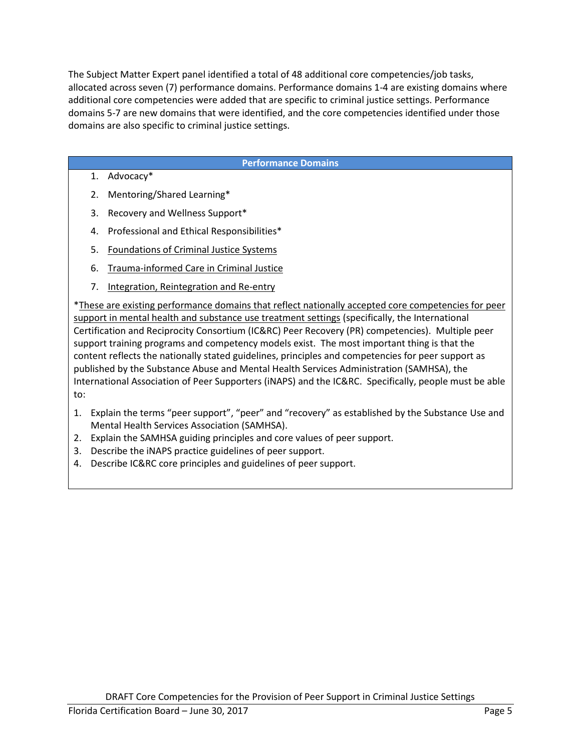The Subject Matter Expert panel identified a total of 48 additional core competencies/job tasks, allocated across seven (7) performance domains. Performance domains 1-4 are existing domains where additional core competencies were added that are specific to criminal justice settings. Performance domains 5-7 are new domains that were identified, and the core competencies identified under those domains are also specific to criminal justice settings.

#### **Performance Domains**

- 1. Advocacy\*
- 2. Mentoring/Shared Learning\*
- 3. Recovery and Wellness Support\*
- 4. Professional and Ethical Responsibilities\*
- 5. Foundations of Criminal Justice Systems
- 6. Trauma-informed Care in Criminal Justice
- 7. Integration, Reintegration and Re-entry

\*These are existing performance domains that reflect nationally accepted core competencies for peer support in mental health and substance use treatment settings (specifically, the International Certification and Reciprocity Consortium (IC&RC) Peer Recovery (PR) competencies). Multiple peer support training programs and competency models exist. The most important thing is that the content reflects the nationally stated guidelines, principles and competencies for peer support as published by the Substance Abuse and Mental Health Services Administration (SAMHSA), the International Association of Peer Supporters (iNAPS) and the IC&RC. Specifically, people must be able to:

- 1. Explain the terms "peer support", "peer" and "recovery" as established by the Substance Use and Mental Health Services Association (SAMHSA).
- 2. Explain the SAMHSA guiding principles and core values of peer support.
- 3. Describe the iNAPS practice guidelines of peer support.
- 4. Describe IC&RC core principles and guidelines of peer support.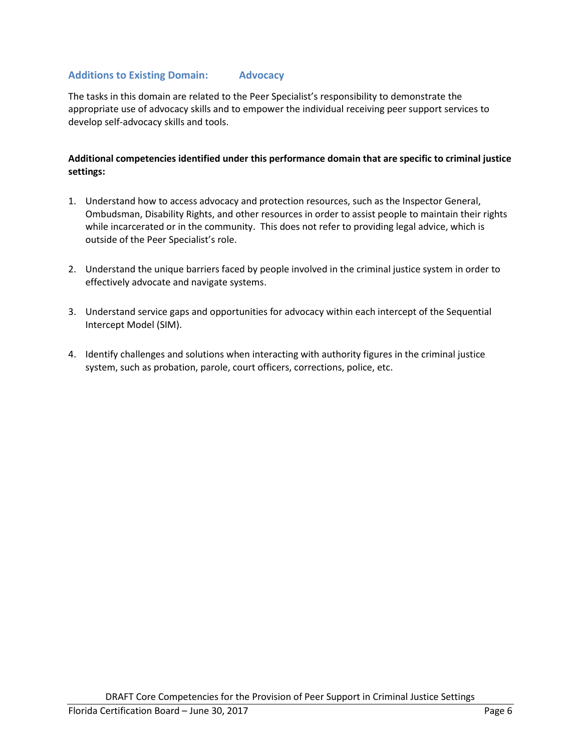# <span id="page-5-0"></span>**Additions to Existing Domain: Advocacy**

The tasks in this domain are related to the Peer Specialist's responsibility to demonstrate the appropriate use of advocacy skills and to empower the individual receiving peer support services to develop self-advocacy skills and tools.

- 1. Understand how to access advocacy and protection resources, such as the Inspector General, Ombudsman, Disability Rights, and other resources in order to assist people to maintain their rights while incarcerated or in the community. This does not refer to providing legal advice, which is outside of the Peer Specialist's role.
- 2. Understand the unique barriers faced by people involved in the criminal justice system in order to effectively advocate and navigate systems.
- 3. Understand service gaps and opportunities for advocacy within each intercept of the Sequential Intercept Model (SIM).
- 4. Identify challenges and solutions when interacting with authority figures in the criminal justice system, such as probation, parole, court officers, corrections, police, etc.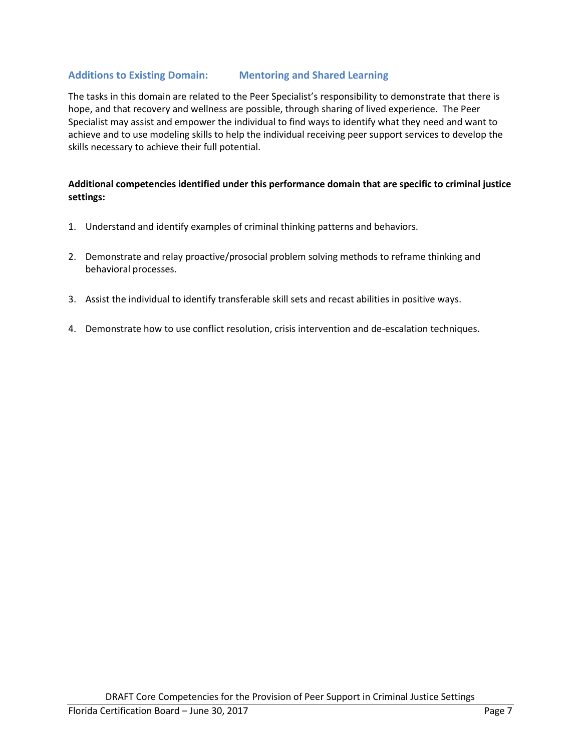# <span id="page-6-0"></span>**Additions to Existing Domain: Mentoring and Shared Learning**

The tasks in this domain are related to the Peer Specialist's responsibility to demonstrate that there is hope, and that recovery and wellness are possible, through sharing of lived experience. The Peer Specialist may assist and empower the individual to find ways to identify what they need and want to achieve and to use modeling skills to help the individual receiving peer support services to develop the skills necessary to achieve their full potential.

- 1. Understand and identify examples of criminal thinking patterns and behaviors.
- 2. Demonstrate and relay proactive/prosocial problem solving methods to reframe thinking and behavioral processes.
- 3. Assist the individual to identify transferable skill sets and recast abilities in positive ways.
- 4. Demonstrate how to use conflict resolution, crisis intervention and de-escalation techniques.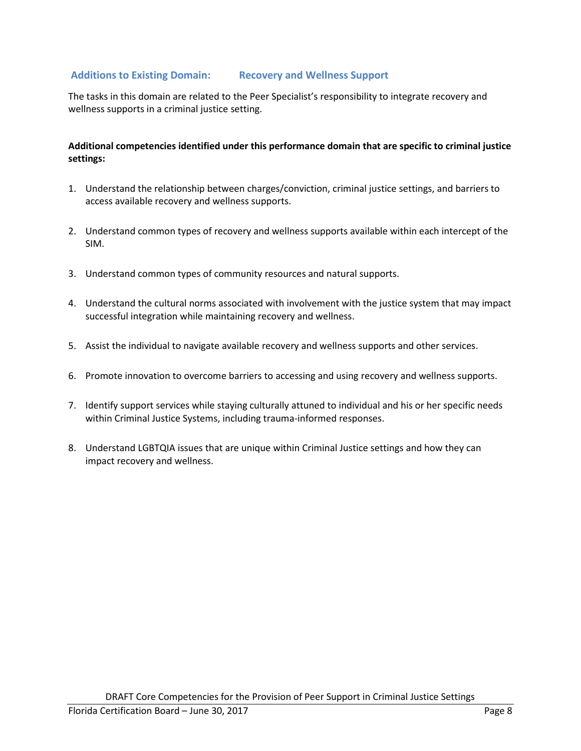# <span id="page-7-0"></span>**Additions to Existing Domain: Recovery and Wellness Support**

The tasks in this domain are related to the Peer Specialist's responsibility to integrate recovery and wellness supports in a criminal justice setting.

- 1. Understand the relationship between charges/conviction, criminal justice settings, and barriers to access available recovery and wellness supports.
- 2. Understand common types of recovery and wellness supports available within each intercept of the SIM.
- 3. Understand common types of community resources and natural supports.
- 4. Understand the cultural norms associated with involvement with the justice system that may impact successful integration while maintaining recovery and wellness.
- 5. Assist the individual to navigate available recovery and wellness supports and other services.
- 6. Promote innovation to overcome barriers to accessing and using recovery and wellness supports.
- 7. Identify support services while staying culturally attuned to individual and his or her specific needs within Criminal Justice Systems, including trauma-informed responses.
- 8. Understand LGBTQIA issues that are unique within Criminal Justice settings and how they can impact recovery and wellness.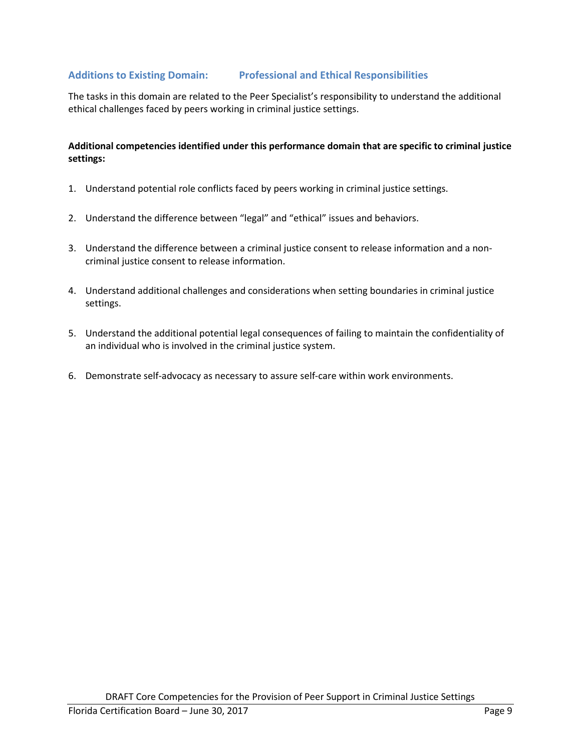# <span id="page-8-0"></span>**Additions to Existing Domain: Professional and Ethical Responsibilities**

The tasks in this domain are related to the Peer Specialist's responsibility to understand the additional ethical challenges faced by peers working in criminal justice settings.

- 1. Understand potential role conflicts faced by peers working in criminal justice settings.
- 2. Understand the difference between "legal" and "ethical" issues and behaviors.
- 3. Understand the difference between a criminal justice consent to release information and a noncriminal justice consent to release information.
- 4. Understand additional challenges and considerations when setting boundaries in criminal justice settings.
- 5. Understand the additional potential legal consequences of failing to maintain the confidentiality of an individual who is involved in the criminal justice system.
- 6. Demonstrate self-advocacy as necessary to assure self-care within work environments.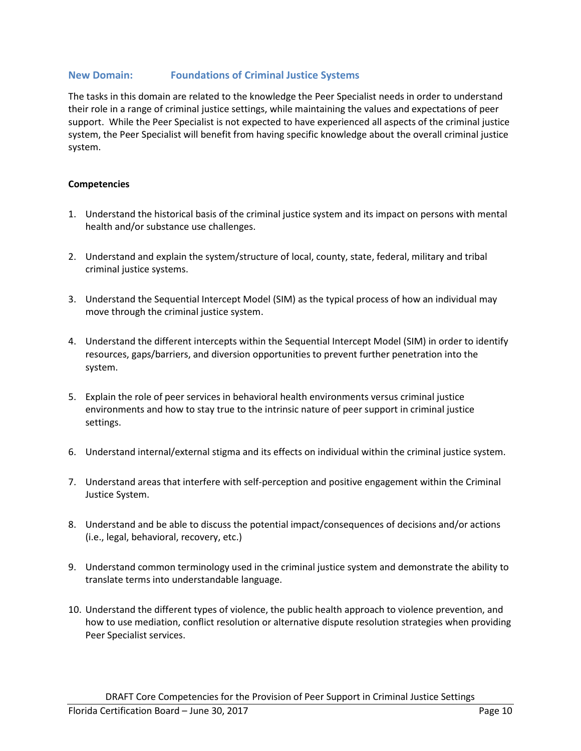# **New Domain: Foundations of Criminal Justice Systems**

The tasks in this domain are related to the knowledge the Peer Specialist needs in order to understand their role in a range of criminal justice settings, while maintaining the values and expectations of peer support. While the Peer Specialist is not expected to have experienced all aspects of the criminal justice system, the Peer Specialist will benefit from having specific knowledge about the overall criminal justice system.

#### **Competencies**

- 1. Understand the historical basis of the criminal justice system and its impact on persons with mental health and/or substance use challenges.
- 2. Understand and explain the system/structure of local, county, state, federal, military and tribal criminal justice systems.
- 3. Understand the Sequential Intercept Model (SIM) as the typical process of how an individual may move through the criminal justice system.
- 4. Understand the different intercepts within the Sequential Intercept Model (SIM) in order to identify resources, gaps/barriers, and diversion opportunities to prevent further penetration into the system.
- 5. Explain the role of peer services in behavioral health environments versus criminal justice environments and how to stay true to the intrinsic nature of peer support in criminal justice settings.
- 6. Understand internal/external stigma and its effects on individual within the criminal justice system.
- 7. Understand areas that interfere with self-perception and positive engagement within the Criminal Justice System.
- 8. Understand and be able to discuss the potential impact/consequences of decisions and/or actions (i.e., legal, behavioral, recovery, etc.)
- 9. Understand common terminology used in the criminal justice system and demonstrate the ability to translate terms into understandable language.
- 10. Understand the different types of violence, the public health approach to violence prevention, and how to use mediation, conflict resolution or alternative dispute resolution strategies when providing Peer Specialist services.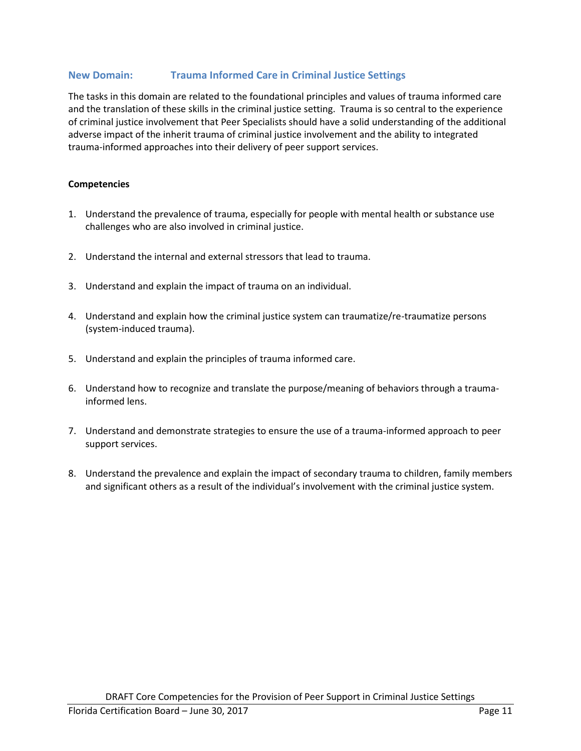# <span id="page-10-0"></span>**New Domain: Trauma Informed Care in Criminal Justice Settings**

The tasks in this domain are related to the foundational principles and values of trauma informed care and the translation of these skills in the criminal justice setting. Trauma is so central to the experience of criminal justice involvement that Peer Specialists should have a solid understanding of the additional adverse impact of the inherit trauma of criminal justice involvement and the ability to integrated trauma-informed approaches into their delivery of peer support services.

#### **Competencies**

- 1. Understand the prevalence of trauma, especially for people with mental health or substance use challenges who are also involved in criminal justice.
- 2. Understand the internal and external stressors that lead to trauma.
- 3. Understand and explain the impact of trauma on an individual.
- 4. Understand and explain how the criminal justice system can traumatize/re-traumatize persons (system-induced trauma).
- 5. Understand and explain the principles of trauma informed care.
- 6. Understand how to recognize and translate the purpose/meaning of behaviors through a traumainformed lens.
- 7. Understand and demonstrate strategies to ensure the use of a trauma-informed approach to peer support services.
- 8. Understand the prevalence and explain the impact of secondary trauma to children, family members and significant others as a result of the individual's involvement with the criminal justice system.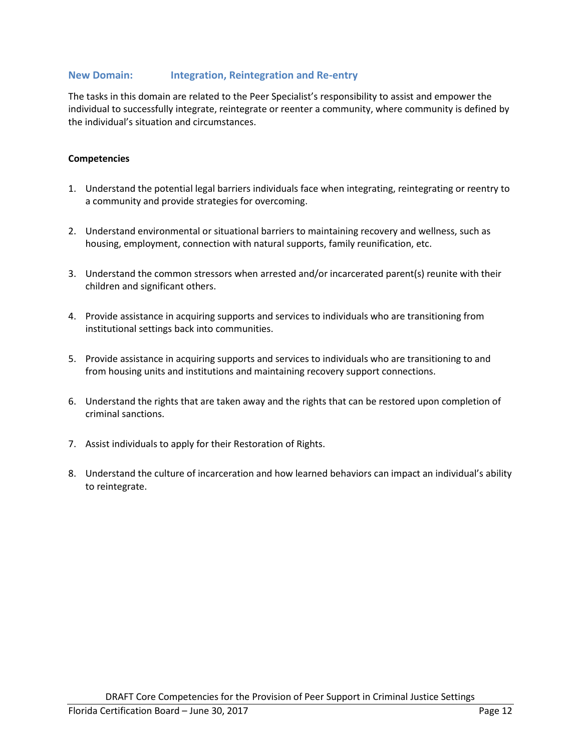## <span id="page-11-0"></span>**New Domain: Integration, Reintegration and Re-entry**

The tasks in this domain are related to the Peer Specialist's responsibility to assist and empower the individual to successfully integrate, reintegrate or reenter a community, where community is defined by the individual's situation and circumstances.

#### **Competencies**

- 1. Understand the potential legal barriers individuals face when integrating, reintegrating or reentry to a community and provide strategies for overcoming.
- 2. Understand environmental or situational barriers to maintaining recovery and wellness, such as housing, employment, connection with natural supports, family reunification, etc.
- 3. Understand the common stressors when arrested and/or incarcerated parent(s) reunite with their children and significant others.
- 4. Provide assistance in acquiring supports and services to individuals who are transitioning from institutional settings back into communities.
- 5. Provide assistance in acquiring supports and services to individuals who are transitioning to and from housing units and institutions and maintaining recovery support connections.
- 6. Understand the rights that are taken away and the rights that can be restored upon completion of criminal sanctions.
- 7. Assist individuals to apply for their Restoration of Rights.
- 8. Understand the culture of incarceration and how learned behaviors can impact an individual's ability to reintegrate.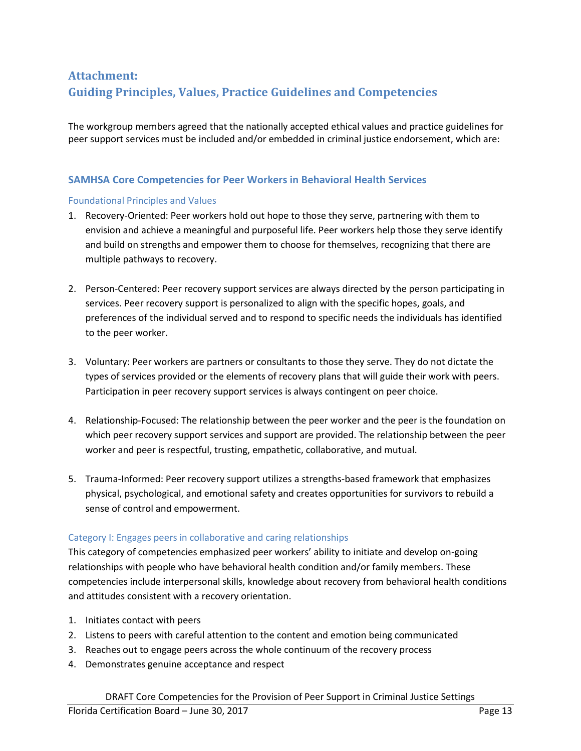# <span id="page-12-0"></span>**Attachment: Guiding Principles, Values, Practice Guidelines and Competencies**

The workgroup members agreed that the nationally accepted ethical values and practice guidelines for peer support services must be included and/or embedded in criminal justice endorsement, which are:

# <span id="page-12-1"></span>**SAMHSA Core Competencies for Peer Workers in Behavioral Health Services**

#### Foundational Principles and Values

- 1. Recovery-Oriented: Peer workers hold out hope to those they serve, partnering with them to envision and achieve a meaningful and purposeful life. Peer workers help those they serve identify and build on strengths and empower them to choose for themselves, recognizing that there are multiple pathways to recovery.
- 2. Person-Centered: Peer recovery support services are always directed by the person participating in services. Peer recovery support is personalized to align with the specific hopes, goals, and preferences of the individual served and to respond to specific needs the individuals has identified to the peer worker.
- 3. Voluntary: Peer workers are partners or consultants to those they serve. They do not dictate the types of services provided or the elements of recovery plans that will guide their work with peers. Participation in peer recovery support services is always contingent on peer choice.
- 4. Relationship-Focused: The relationship between the peer worker and the peer is the foundation on which peer recovery support services and support are provided. The relationship between the peer worker and peer is respectful, trusting, empathetic, collaborative, and mutual.
- 5. Trauma-Informed: Peer recovery support utilizes a strengths-based framework that emphasizes physical, psychological, and emotional safety and creates opportunities for survivors to rebuild a sense of control and empowerment.

#### Category I: Engages peers in collaborative and caring relationships

This category of competencies emphasized peer workers' ability to initiate and develop on-going relationships with people who have behavioral health condition and/or family members. These competencies include interpersonal skills, knowledge about recovery from behavioral health conditions and attitudes consistent with a recovery orientation.

- 1. Initiates contact with peers
- 2. Listens to peers with careful attention to the content and emotion being communicated
- 3. Reaches out to engage peers across the whole continuum of the recovery process
- 4. Demonstrates genuine acceptance and respect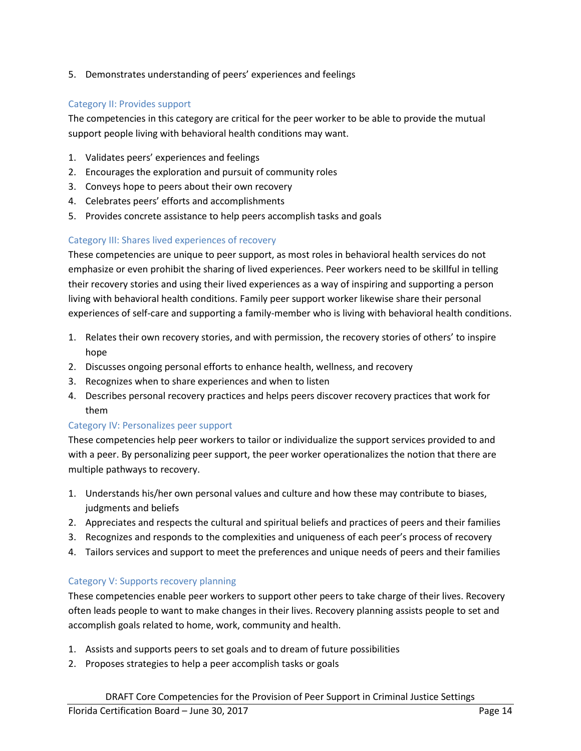5. Demonstrates understanding of peers' experiences and feelings

# Category II: Provides support

The competencies in this category are critical for the peer worker to be able to provide the mutual support people living with behavioral health conditions may want.

- 1. Validates peers' experiences and feelings
- 2. Encourages the exploration and pursuit of community roles
- 3. Conveys hope to peers about their own recovery
- 4. Celebrates peers' efforts and accomplishments
- 5. Provides concrete assistance to help peers accomplish tasks and goals

### Category III: Shares lived experiences of recovery

These competencies are unique to peer support, as most roles in behavioral health services do not emphasize or even prohibit the sharing of lived experiences. Peer workers need to be skillful in telling their recovery stories and using their lived experiences as a way of inspiring and supporting a person living with behavioral health conditions. Family peer support worker likewise share their personal experiences of self-care and supporting a family-member who is living with behavioral health conditions.

- 1. Relates their own recovery stories, and with permission, the recovery stories of others' to inspire hope
- 2. Discusses ongoing personal efforts to enhance health, wellness, and recovery
- 3. Recognizes when to share experiences and when to listen
- 4. Describes personal recovery practices and helps peers discover recovery practices that work for them

#### Category IV: Personalizes peer support

These competencies help peer workers to tailor or individualize the support services provided to and with a peer. By personalizing peer support, the peer worker operationalizes the notion that there are multiple pathways to recovery.

- 1. Understands his/her own personal values and culture and how these may contribute to biases, judgments and beliefs
- 2. Appreciates and respects the cultural and spiritual beliefs and practices of peers and their families
- 3. Recognizes and responds to the complexities and uniqueness of each peer's process of recovery
- 4. Tailors services and support to meet the preferences and unique needs of peers and their families

#### Category V: Supports recovery planning

These competencies enable peer workers to support other peers to take charge of their lives. Recovery often leads people to want to make changes in their lives. Recovery planning assists people to set and accomplish goals related to home, work, community and health.

- 1. Assists and supports peers to set goals and to dream of future possibilities
- 2. Proposes strategies to help a peer accomplish tasks or goals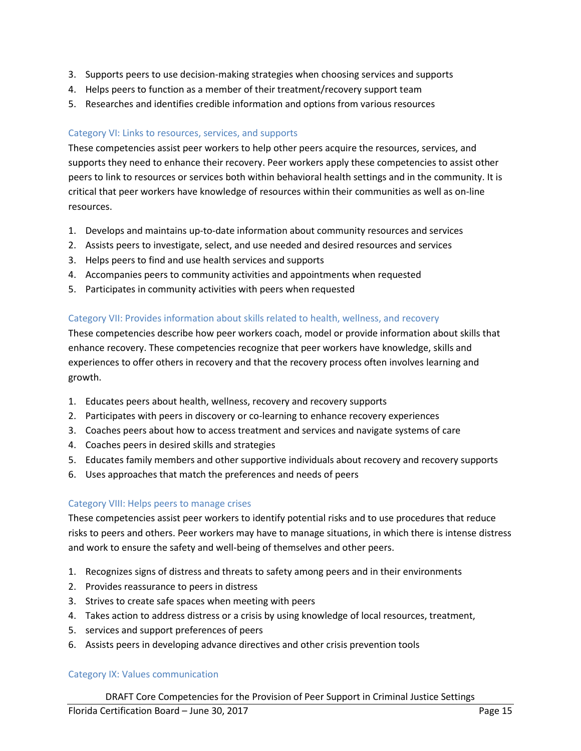- 3. Supports peers to use decision-making strategies when choosing services and supports
- 4. Helps peers to function as a member of their treatment/recovery support team
- 5. Researches and identifies credible information and options from various resources

## Category VI: Links to resources, services, and supports

These competencies assist peer workers to help other peers acquire the resources, services, and supports they need to enhance their recovery. Peer workers apply these competencies to assist other peers to link to resources or services both within behavioral health settings and in the community. It is critical that peer workers have knowledge of resources within their communities as well as on-line resources.

- 1. Develops and maintains up-to-date information about community resources and services
- 2. Assists peers to investigate, select, and use needed and desired resources and services
- 3. Helps peers to find and use health services and supports
- 4. Accompanies peers to community activities and appointments when requested
- 5. Participates in community activities with peers when requested

### Category VII: Provides information about skills related to health, wellness, and recovery

These competencies describe how peer workers coach, model or provide information about skills that enhance recovery. These competencies recognize that peer workers have knowledge, skills and experiences to offer others in recovery and that the recovery process often involves learning and growth.

- 1. Educates peers about health, wellness, recovery and recovery supports
- 2. Participates with peers in discovery or co-learning to enhance recovery experiences
- 3. Coaches peers about how to access treatment and services and navigate systems of care
- 4. Coaches peers in desired skills and strategies
- 5. Educates family members and other supportive individuals about recovery and recovery supports
- 6. Uses approaches that match the preferences and needs of peers

#### Category VIII: Helps peers to manage crises

These competencies assist peer workers to identify potential risks and to use procedures that reduce risks to peers and others. Peer workers may have to manage situations, in which there is intense distress and work to ensure the safety and well-being of themselves and other peers.

- 1. Recognizes signs of distress and threats to safety among peers and in their environments
- 2. Provides reassurance to peers in distress
- 3. Strives to create safe spaces when meeting with peers
- 4. Takes action to address distress or a crisis by using knowledge of local resources, treatment,
- 5. services and support preferences of peers
- 6. Assists peers in developing advance directives and other crisis prevention tools

#### Category IX: Values communication

DRAFT Core Competencies for the Provision of Peer Support in Criminal Justice Settings Florida Certification Board – June 30, 2017 **Page 15** Page 15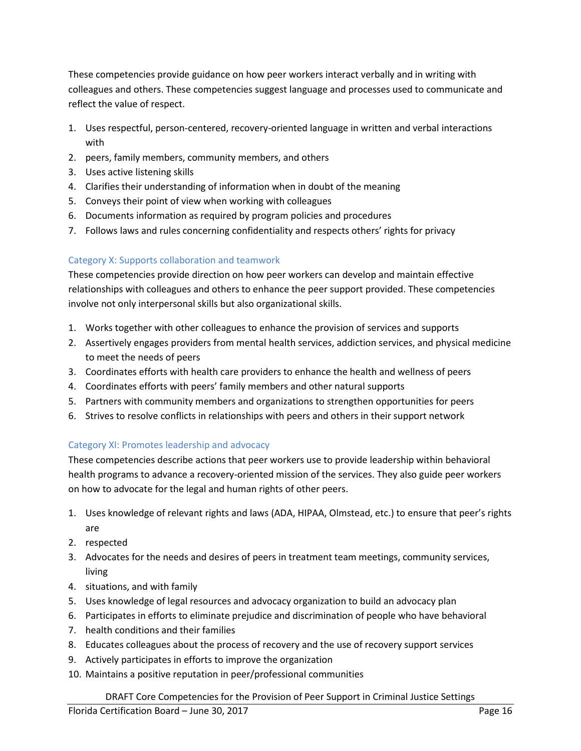These competencies provide guidance on how peer workers interact verbally and in writing with colleagues and others. These competencies suggest language and processes used to communicate and reflect the value of respect.

- 1. Uses respectful, person-centered, recovery-oriented language in written and verbal interactions with
- 2. peers, family members, community members, and others
- 3. Uses active listening skills
- 4. Clarifies their understanding of information when in doubt of the meaning
- 5. Conveys their point of view when working with colleagues
- 6. Documents information as required by program policies and procedures
- 7. Follows laws and rules concerning confidentiality and respects others' rights for privacy

# Category X: Supports collaboration and teamwork

These competencies provide direction on how peer workers can develop and maintain effective relationships with colleagues and others to enhance the peer support provided. These competencies involve not only interpersonal skills but also organizational skills.

- 1. Works together with other colleagues to enhance the provision of services and supports
- 2. Assertively engages providers from mental health services, addiction services, and physical medicine to meet the needs of peers
- 3. Coordinates efforts with health care providers to enhance the health and wellness of peers
- 4. Coordinates efforts with peers' family members and other natural supports
- 5. Partners with community members and organizations to strengthen opportunities for peers
- 6. Strives to resolve conflicts in relationships with peers and others in their support network

# Category XI: Promotes leadership and advocacy

These competencies describe actions that peer workers use to provide leadership within behavioral health programs to advance a recovery-oriented mission of the services. They also guide peer workers on how to advocate for the legal and human rights of other peers.

- 1. Uses knowledge of relevant rights and laws (ADA, HIPAA, Olmstead, etc.) to ensure that peer's rights are
- 2. respected
- 3. Advocates for the needs and desires of peers in treatment team meetings, community services, living
- 4. situations, and with family
- 5. Uses knowledge of legal resources and advocacy organization to build an advocacy plan
- 6. Participates in efforts to eliminate prejudice and discrimination of people who have behavioral
- 7. health conditions and their families
- 8. Educates colleagues about the process of recovery and the use of recovery support services
- 9. Actively participates in efforts to improve the organization
- 10. Maintains a positive reputation in peer/professional communities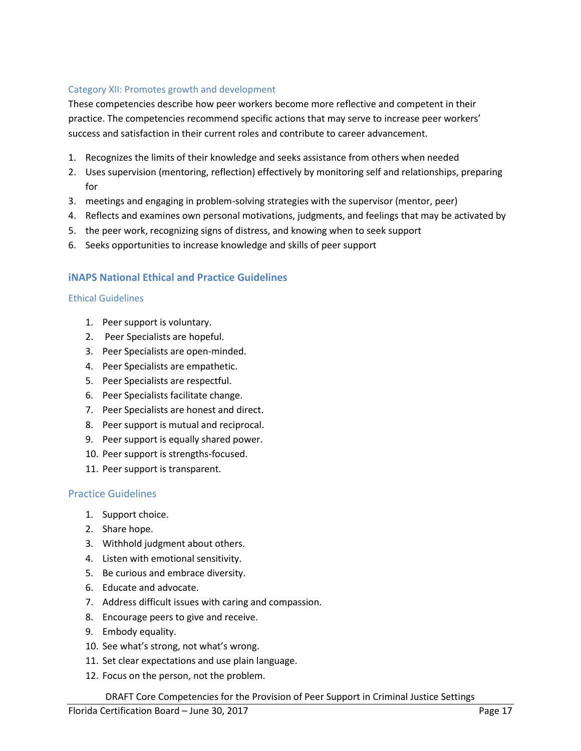# Category XII: Promotes growth and development

These competencies describe how peer workers become more reflective and competent in their practice. The competencies recommend specific actions that may serve to increase peer workers' success and satisfaction in their current roles and contribute to career advancement.

- 1. Recognizes the limits of their knowledge and seeks assistance from others when needed
- 2. Uses supervision (mentoring, reflection) effectively by monitoring self and relationships, preparing for
- 3. meetings and engaging in problem-solving strategies with the supervisor (mentor, peer)
- 4. Reflects and examines own personal motivations, judgments, and feelings that may be activated by
- 5. the peer work, recognizing signs of distress, and knowing when to seek support
- 6. Seeks opportunities to increase knowledge and skills of peer support

# **iNAPS National Ethical and Practice Guidelines**

### Ethical Guidelines

- 1. Peer support is voluntary.
- 2. Peer Specialists are hopeful.
- 3. Peer Specialists are open-minded.
- 4. Peer Specialists are empathetic.
- 5. Peer Specialists are respectful.
- 6. Peer Specialists facilitate change.
- 7. Peer Specialists are honest and direct.
- 8. Peer support is mutual and reciprocal.
- 9. Peer support is equally shared power.
- 10. Peer support is strengths-focused.
- 11. Peer support is transparent.

# <span id="page-16-0"></span>Practice Guidelines

- 1. Support choice.
- 2. Share hope.
- 3. Withhold judgment about others.
- 4. Listen with emotional sensitivity.
- 5. Be curious and embrace diversity.
- 6. Educate and advocate.
- 7. Address difficult issues with caring and compassion.
- 8. Encourage peers to give and receive.
- 9. Embody equality.
- 10. See what's strong, not what's wrong.
- 11. Set clear expectations and use plain language.
- 12. Focus on the person, not the problem.

DRAFT Core Competencies for the Provision of Peer Support in Criminal Justice Settings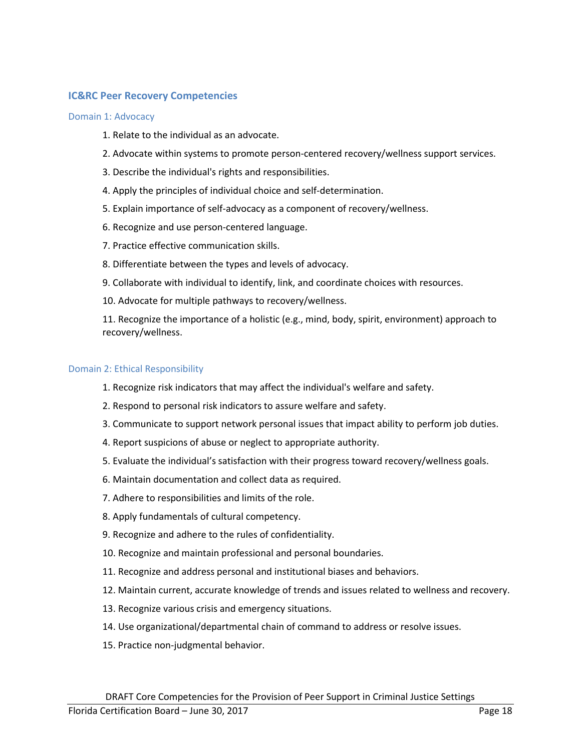## <span id="page-17-0"></span>**IC&RC Peer Recovery Competencies**

#### Domain 1: Advocacy

- 1. Relate to the individual as an advocate.
- 2. Advocate within systems to promote person-centered recovery/wellness support services.
- 3. Describe the individual's rights and responsibilities.
- 4. Apply the principles of individual choice and self‐determination.
- 5. Explain importance of self-advocacy as a component of recovery/wellness.
- 6. Recognize and use person-centered language.
- 7. Practice effective communication skills.
- 8. Differentiate between the types and levels of advocacy.
- 9. Collaborate with individual to identify, link, and coordinate choices with resources.
- 10. Advocate for multiple pathways to recovery/wellness.

11. Recognize the importance of a holistic (e.g., mind, body, spirit, environment) approach to recovery/wellness.

#### Domain 2: Ethical Responsibility

- 1. Recognize risk indicators that may affect the individual's welfare and safety.
- 2. Respond to personal risk indicators to assure welfare and safety.
- 3. Communicate to support network personal issues that impact ability to perform job duties.
- 4. Report suspicions of abuse or neglect to appropriate authority.
- 5. Evaluate the individual's satisfaction with their progress toward recovery/wellness goals.
- 6. Maintain documentation and collect data as required.
- 7. Adhere to responsibilities and limits of the role.
- 8. Apply fundamentals of cultural competency.
- 9. Recognize and adhere to the rules of confidentiality.
- 10. Recognize and maintain professional and personal boundaries.
- 11. Recognize and address personal and institutional biases and behaviors.
- 12. Maintain current, accurate knowledge of trends and issues related to wellness and recovery.
- 13. Recognize various crisis and emergency situations.
- 14. Use organizational/departmental chain of command to address or resolve issues.
- 15. Practice non-judgmental behavior.